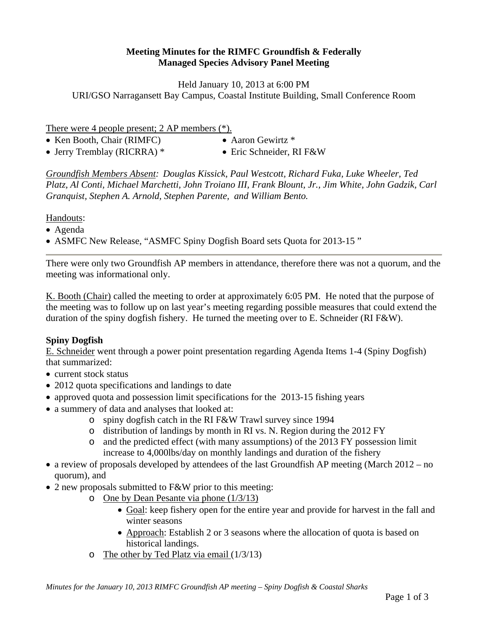## **Meeting Minutes for the RIMFC Groundfish & Federally Managed Species Advisory Panel Meeting**

Held January 10, 2013 at 6:00 PM URI/GSO Narragansett Bay Campus, Coastal Institute Building, Small Conference Room

There were 4 people present; 2 AP members (\*).

- Ken Booth, Chair (RIMFC) Aaron Gewirtz \*
- 
- Jerry Tremblay (RICRRA) \* Eric Schneider, RI F&W
- -

*Groundfish Members Absent: Douglas Kissick, Paul Westcott, Richard Fuka, Luke Wheeler, Ted Platz, Al Conti, Michael Marchetti, John Troiano III, Frank Blount, Jr., Jim White, John Gadzik, Carl Granquist, Stephen A. Arnold, Stephen Parente, and William Bento.* 

Handouts:

- Agenda
- ASMFC New Release, "ASMFC Spiny Dogfish Board sets Quota for 2013-15 "

There were only two Groundfish AP members in attendance, therefore there was not a quorum, and the meeting was informational only.

K. Booth (Chair) called the meeting to order at approximately 6:05 PM. He noted that the purpose of the meeting was to follow up on last year's meeting regarding possible measures that could extend the duration of the spiny dogfish fishery. He turned the meeting over to E. Schneider (RI F&W).

## **Spiny Dogfish**

E. Schneider went through a power point presentation regarding Agenda Items 1-4 (Spiny Dogfish) that summarized:

- current stock status
- 2012 quota specifications and landings to date
- approved quota and possession limit specifications for the 2013-15 fishing years
- a summery of data and analyses that looked at:
	- o spiny dogfish catch in the RI F&W Trawl survey since 1994
	- o distribution of landings by month in RI vs. N. Region during the 2012 FY
	- o and the predicted effect (with many assumptions) of the 2013 FY possession limit increase to 4,000lbs/day on monthly landings and duration of the fishery
- a review of proposals developed by attendees of the last Groundfish AP meeting (March 2012 no quorum), and
- 2 new proposals submitted to F&W prior to this meeting:
	- o One by Dean Pesante via phone (1/3/13)
		- Goal: keep fishery open for the entire year and provide for harvest in the fall and winter seasons
		- Approach: Establish 2 or 3 seasons where the allocation of quota is based on historical landings.
	- o The other by Ted Platz via email (1/3/13)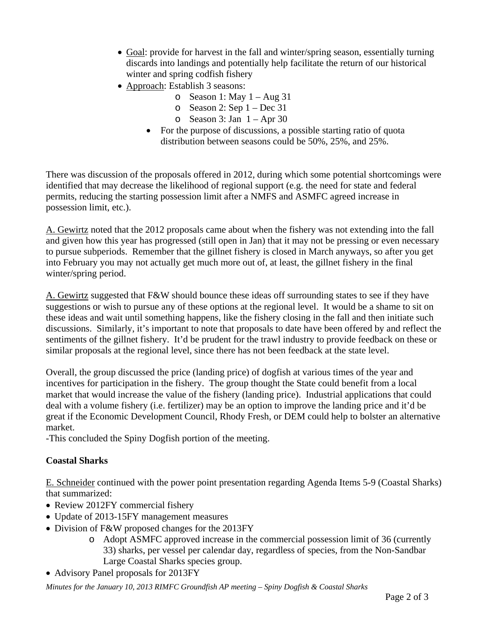- Goal: provide for harvest in the fall and winter/spring season, essentially turning discards into landings and potentially help facilitate the return of our historical winter and spring codfish fishery
- Approach: Establish 3 seasons:
	- $\circ$  Season 1: May 1 Aug 31
	- o Season 2: Sep  $1 Dec 31$
	- $\circ$  Season 3: Jan 1 Apr 30
	- For the purpose of discussions, a possible starting ratio of quota distribution between seasons could be 50%, 25%, and 25%.

There was discussion of the proposals offered in 2012, during which some potential shortcomings were identified that may decrease the likelihood of regional support (e.g. the need for state and federal permits, reducing the starting possession limit after a NMFS and ASMFC agreed increase in possession limit, etc.).

A. Gewirtz noted that the 2012 proposals came about when the fishery was not extending into the fall and given how this year has progressed (still open in Jan) that it may not be pressing or even necessary to pursue subperiods. Remember that the gillnet fishery is closed in March anyways, so after you get into February you may not actually get much more out of, at least, the gillnet fishery in the final winter/spring period.

A. Gewirtz suggested that F&W should bounce these ideas off surrounding states to see if they have suggestions or wish to pursue any of these options at the regional level. It would be a shame to sit on these ideas and wait until something happens, like the fishery closing in the fall and then initiate such discussions. Similarly, it's important to note that proposals to date have been offered by and reflect the sentiments of the gillnet fishery. It'd be prudent for the trawl industry to provide feedback on these or similar proposals at the regional level, since there has not been feedback at the state level.

Overall, the group discussed the price (landing price) of dogfish at various times of the year and incentives for participation in the fishery. The group thought the State could benefit from a local market that would increase the value of the fishery (landing price). Industrial applications that could deal with a volume fishery (i.e. fertilizer) may be an option to improve the landing price and it'd be great if the Economic Development Council, Rhody Fresh, or DEM could help to bolster an alternative market.

-This concluded the Spiny Dogfish portion of the meeting.

## **Coastal Sharks**

E. Schneider continued with the power point presentation regarding Agenda Items 5-9 (Coastal Sharks) that summarized:

- Review 2012FY commercial fishery
- Update of 2013-15FY management measures
- Division of F&W proposed changes for the 2013FY
	- o Adopt ASMFC approved increase in the commercial possession limit of 36 (currently 33) sharks, per vessel per calendar day, regardless of species, from the Non-Sandbar Large Coastal Sharks species group.
- Advisory Panel proposals for 2013FY

*Minutes for the January 10, 2013 RIMFC Groundfish AP meeting – Spiny Dogfish & Coastal Sharks*